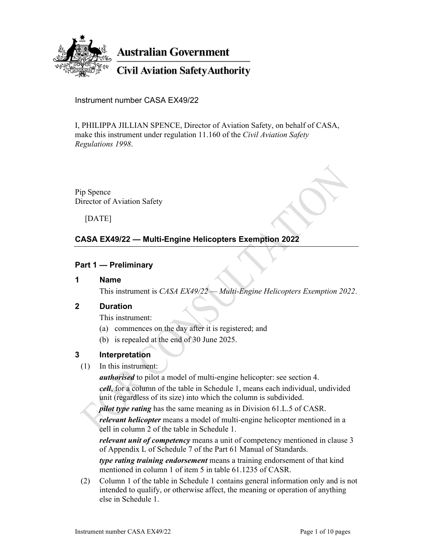

Instrument number CASA EX49/22

I, PHILIPPA JILLIAN SPENCE, Director of Aviation Safety, on behalf of CASA, make this instrument under regulation 11.160 of the *Civil Aviation Safety Regulations 1998*.

Pip Spence Director of Aviation Safety

[DATE]

# **CASA EX49/22 — Multi-Engine Helicopters Exemption 2022**

#### **Part 1 — Preliminary**

**1 Name** 

This instrument is *CASA EX49/22 — Multi-Engine Helicopters Exemption 2022*.

#### **2 Duration**

This instrument:

- (a) commences on the day after it is registered; and
- (b) is repealed at the end of 30 June 2025.

### **3 Interpretation**

(1) In this instrument:

*authorised* to pilot a model of multi-engine helicopter: see section 4.

*cell*, for a column of the table in Schedule 1, means each individual, undivided unit (regardless of its size) into which the column is subdivided.

*pilot type rating* has the same meaning as in Division 61.L.5 of CASR.

*relevant helicopter* means a model of multi-engine helicopter mentioned in a cell in column 2 of the table in Schedule 1.

*relevant unit of competency* means a unit of competency mentioned in clause 3 of Appendix L of Schedule 7 of the Part 61 Manual of Standards.

*type rating training endorsement* means a training endorsement of that kind mentioned in column 1 of item 5 in table 61.1235 of CASR.

 (2) Column 1 of the table in Schedule 1 contains general information only and is not intended to qualify, or otherwise affect, the meaning or operation of anything else in Schedule 1.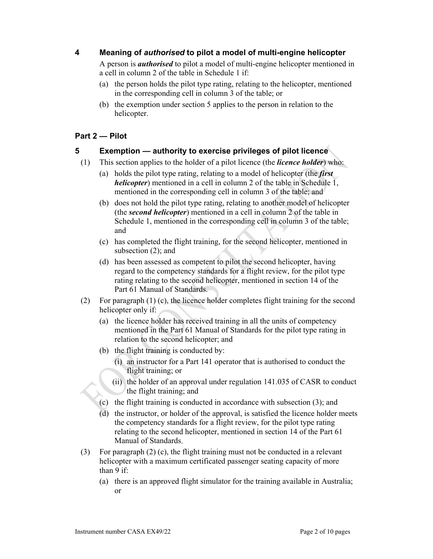# **4 Meaning of** *authorised* **to pilot a model of multi-engine helicopter**

 A person is *authorised* to pilot a model of multi-engine helicopter mentioned in a cell in column 2 of the table in Schedule 1 if:

- (a) the person holds the pilot type rating, relating to the helicopter, mentioned in the corresponding cell in column 3 of the table; or
- (b) the exemption under section 5 applies to the person in relation to the helicopter.

# **Part 2 — Pilot**

# **5 Exemption — authority to exercise privileges of pilot licence**

- (1) This section applies to the holder of a pilot licence (the *licence holder*) who:
	- (a) holds the pilot type rating, relating to a model of helicopter (the *first helicopter*) mentioned in a cell in column 2 of the table in Schedule 1, mentioned in the corresponding cell in column 3 of the table; and
	- (b) does not hold the pilot type rating, relating to another model of helicopter (the *second helicopter*) mentioned in a cell in column 2 of the table in Schedule 1, mentioned in the corresponding cell in column 3 of the table; and
	- (c) has completed the flight training, for the second helicopter, mentioned in subsection (2); and
	- (d) has been assessed as competent to pilot the second helicopter, having regard to the competency standards for a flight review, for the pilot type rating relating to the second helicopter, mentioned in section 14 of the Part 61 Manual of Standards.
- (2) For paragraph (1) (c), the licence holder completes flight training for the second helicopter only if:
	- (a) the licence holder has received training in all the units of competency mentioned in the Part 61 Manual of Standards for the pilot type rating in relation to the second helicopter; and
	- (b) the flight training is conducted by:
		- (i) an instructor for a Part 141 operator that is authorised to conduct the flight training; or
		- (ii) the holder of an approval under regulation 141.035 of CASR to conduct the flight training; and
	- (c) the flight training is conducted in accordance with subsection (3); and
	- (d) the instructor, or holder of the approval, is satisfied the licence holder meets the competency standards for a flight review, for the pilot type rating relating to the second helicopter, mentioned in section 14 of the Part 61 Manual of Standards.
- (3) For paragraph (2) (c), the flight training must not be conducted in a relevant helicopter with a maximum certificated passenger seating capacity of more than 9 if:
	- (a) there is an approved flight simulator for the training available in Australia; or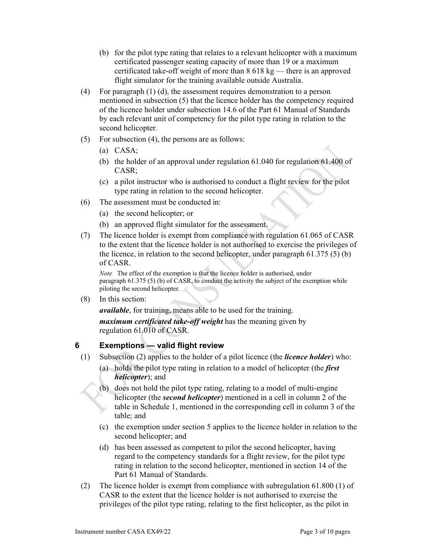- (b) for the pilot type rating that relates to a relevant helicopter with a maximum certificated passenger seating capacity of more than 19 or a maximum certificated take-off weight of more than  $8618 \text{ kg}$  — there is an approved flight simulator for the training available outside Australia.
- (4) For paragraph (1) (d), the assessment requires demonstration to a person mentioned in subsection (5) that the licence holder has the competency required of the licence holder under subsection 14.6 of the Part 61 Manual of Standards by each relevant unit of competency for the pilot type rating in relation to the second helicopter.
- (5) For subsection (4), the persons are as follows:
	- (a) CASA;
	- (b) the holder of an approval under regulation 61.040 for regulation 61.400 of CASR;
	- (c) a pilot instructor who is authorised to conduct a flight review for the pilot type rating in relation to the second helicopter.
- (6) The assessment must be conducted in:
	- (a) the second helicopter; or
	- (b) an approved flight simulator for the assessment.
- (7) The licence holder is exempt from compliance with regulation 61.065 of CASR to the extent that the licence holder is not authorised to exercise the privileges of the licence, in relation to the second helicopter, under paragraph  $61.375(5)$  (b) of CASR.

*Note* The effect of the exemption is that the licence holder is authorised, under paragraph 61.375 (5) (b) of CASR, to conduct the activity the subject of the exemption while piloting the second helicopter.

(8) In this section:

*available*, for training, means able to be used for the training.

*maximum certificated take-off weight* has the meaning given by regulation 61.010 of CASR.

# **6 Exemptions — valid flight review**

- (1) Subsection (2) applies to the holder of a pilot licence (the *licence holder*) who:
	- (a) holds the pilot type rating in relation to a model of helicopter (the *first helicopter*); and
	- (b) does not hold the pilot type rating, relating to a model of multi-engine helicopter (the *second helicopter*) mentioned in a cell in column 2 of the table in Schedule 1, mentioned in the corresponding cell in column 3 of the table; and
	- (c) the exemption under section 5 applies to the licence holder in relation to the second helicopter; and
	- (d) has been assessed as competent to pilot the second helicopter, having regard to the competency standards for a flight review, for the pilot type rating in relation to the second helicopter, mentioned in section 14 of the Part 61 Manual of Standards.
- (2) The licence holder is exempt from compliance with subregulation 61.800 (1) of CASR to the extent that the licence holder is not authorised to exercise the privileges of the pilot type rating, relating to the first helicopter, as the pilot in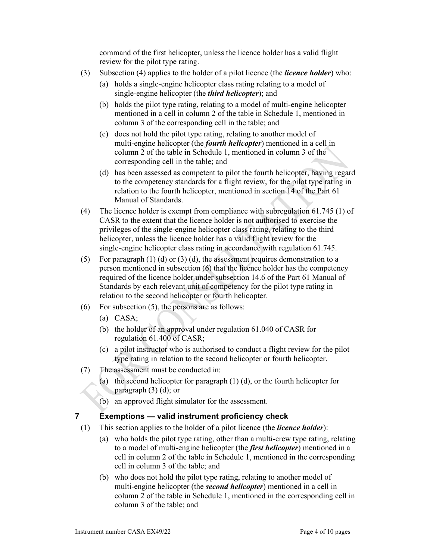command of the first helicopter, unless the licence holder has a valid flight review for the pilot type rating.

- (3) Subsection (4) applies to the holder of a pilot licence (the *licence holder*) who:
	- (a) holds a single-engine helicopter class rating relating to a model of single-engine helicopter (the *third helicopter*); and
	- (b) holds the pilot type rating, relating to a model of multi-engine helicopter mentioned in a cell in column 2 of the table in Schedule 1, mentioned in column 3 of the corresponding cell in the table; and
	- (c) does not hold the pilot type rating, relating to another model of multi-engine helicopter (the *fourth helicopter*) mentioned in a cell in column 2 of the table in Schedule 1, mentioned in column 3 of the corresponding cell in the table; and
	- (d) has been assessed as competent to pilot the fourth helicopter, having regard to the competency standards for a flight review, for the pilot type rating in relation to the fourth helicopter, mentioned in section 14 of the Part 61 Manual of Standards.
- (4) The licence holder is exempt from compliance with subregulation 61.745 (1) of CASR to the extent that the licence holder is not authorised to exercise the privileges of the single-engine helicopter class rating, relating to the third helicopter, unless the licence holder has a valid flight review for the single-engine helicopter class rating in accordance with regulation 61.745.
- (5) For paragraph  $(1)$  (d) or  $(3)$  (d), the assessment requires demonstration to a person mentioned in subsection (6) that the licence holder has the competency required of the licence holder under subsection 14.6 of the Part 61 Manual of Standards by each relevant unit of competency for the pilot type rating in relation to the second helicopter or fourth helicopter.
- (6) For subsection (5), the persons are as follows:
	- (a) CASA;
	- (b) the holder of an approval under regulation 61.040 of CASR for regulation 61.400 of CASR;
	- (c) a pilot instructor who is authorised to conduct a flight review for the pilot type rating in relation to the second helicopter or fourth helicopter.
- (7) The assessment must be conducted in:
	- (a) the second helicopter for paragraph  $(1)$  (d), or the fourth helicopter for paragraph (3) (d); or
	- (b) an approved flight simulator for the assessment.

### **7 Exemptions — valid instrument proficiency check**

- (1) This section applies to the holder of a pilot licence (the *licence holder*):
	- (a) who holds the pilot type rating, other than a multi-crew type rating, relating to a model of multi-engine helicopter (the *first helicopter*) mentioned in a cell in column 2 of the table in Schedule 1, mentioned in the corresponding cell in column 3 of the table; and
	- (b) who does not hold the pilot type rating, relating to another model of multi-engine helicopter (the *second helicopter*) mentioned in a cell in column 2 of the table in Schedule 1, mentioned in the corresponding cell in column 3 of the table; and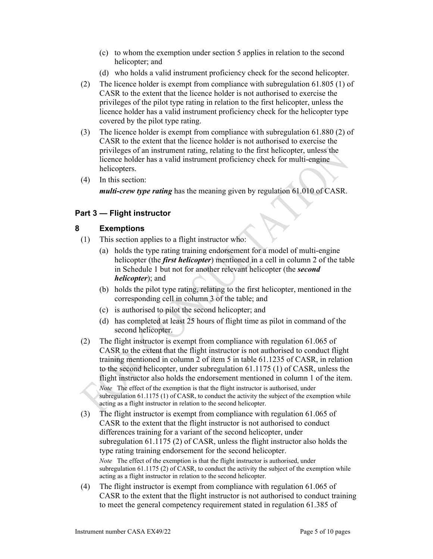- (c) to whom the exemption under section 5 applies in relation to the second helicopter; and
- (d) who holds a valid instrument proficiency check for the second helicopter.
- (2) The licence holder is exempt from compliance with subregulation 61.805 (1) of CASR to the extent that the licence holder is not authorised to exercise the privileges of the pilot type rating in relation to the first helicopter, unless the licence holder has a valid instrument proficiency check for the helicopter type covered by the pilot type rating.
- (3) The licence holder is exempt from compliance with subregulation 61.880 (2) of CASR to the extent that the licence holder is not authorised to exercise the privileges of an instrument rating, relating to the first helicopter, unless the licence holder has a valid instrument proficiency check for multi-engine helicopters.
- (4) In this section:

*multi-crew type rating* has the meaning given by regulation 61.010 of CASR.

# **Part 3 — Flight instructor**

#### **8 Exemptions**

- (1) This section applies to a flight instructor who:
	- (a) holds the type rating training endorsement for a model of multi-engine helicopter (the *first helicopter*) mentioned in a cell in column 2 of the table in Schedule 1 but not for another relevant helicopter (the *second helicopter*); and
	- (b) holds the pilot type rating, relating to the first helicopter, mentioned in the corresponding cell in column 3 of the table; and
	- (c) is authorised to pilot the second helicopter; and
	- (d) has completed at least 25 hours of flight time as pilot in command of the second helicopter.
- (2) The flight instructor is exempt from compliance with regulation 61.065 of CASR to the extent that the flight instructor is not authorised to conduct flight training mentioned in column 2 of item 5 in table 61.1235 of CASR, in relation to the second helicopter, under subregulation 61.1175 (1) of CASR, unless the flight instructor also holds the endorsement mentioned in column 1 of the item. *Note* The effect of the exemption is that the flight instructor is authorised, under subregulation 61.1175 (1) of CASR, to conduct the activity the subject of the exemption while acting as a flight instructor in relation to the second helicopter.
- (3) The flight instructor is exempt from compliance with regulation 61.065 of CASR to the extent that the flight instructor is not authorised to conduct differences training for a variant of the second helicopter, under subregulation 61.1175 (2) of CASR, unless the flight instructor also holds the type rating training endorsement for the second helicopter. *Note* The effect of the exemption is that the flight instructor is authorised, under subregulation 61.1175 (2) of CASR, to conduct the activity the subject of the exemption while acting as a flight instructor in relation to the second helicopter.
- (4) The flight instructor is exempt from compliance with regulation 61.065 of CASR to the extent that the flight instructor is not authorised to conduct training to meet the general competency requirement stated in regulation 61.385 of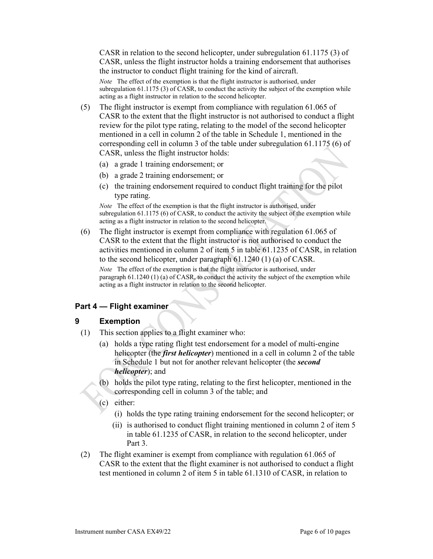CASR in relation to the second helicopter, under subregulation 61.1175 (3) of CASR, unless the flight instructor holds a training endorsement that authorises the instructor to conduct flight training for the kind of aircraft.

*Note* The effect of the exemption is that the flight instructor is authorised, under subregulation 61.1175 (3) of CASR, to conduct the activity the subject of the exemption while acting as a flight instructor in relation to the second helicopter.

- (5) The flight instructor is exempt from compliance with regulation 61.065 of CASR to the extent that the flight instructor is not authorised to conduct a flight review for the pilot type rating, relating to the model of the second helicopter mentioned in a cell in column 2 of the table in Schedule 1, mentioned in the corresponding cell in column 3 of the table under subregulation 61.1175 (6) of CASR, unless the flight instructor holds:
	- (a) a grade 1 training endorsement; or
	- (b) a grade 2 training endorsement; or
	- (c) the training endorsement required to conduct flight training for the pilot type rating.

*Note* The effect of the exemption is that the flight instructor is authorised, under subregulation  $61.1175(6)$  of CASR, to conduct the activity the subject of the exemption while acting as a flight instructor in relation to the second helicopter.

 (6) The flight instructor is exempt from compliance with regulation 61.065 of CASR to the extent that the flight instructor is not authorised to conduct the activities mentioned in column 2 of item 5 in table 61.1235 of CASR, in relation to the second helicopter, under paragraph 61.1240 (1) (a) of CASR.

*Note* The effect of the exemption is that the flight instructor is authorised, under paragraph  $61.1240$  (1) (a) of CASR, to conduct the activity the subject of the exemption while acting as a flight instructor in relation to the second helicopter.

### **Part 4 — Flight examiner**

### **9 Exemption**

- (1) This section applies to a flight examiner who:
	- (a) holds a type rating flight test endorsement for a model of multi-engine helicopter (the *first helicopter*) mentioned in a cell in column 2 of the table in Schedule 1 but not for another relevant helicopter (the *second helicopter*); and
	- (b) holds the pilot type rating, relating to the first helicopter, mentioned in the corresponding cell in column 3 of the table; and
	- (c) either:
		- (i) holds the type rating training endorsement for the second helicopter; or
		- (ii) is authorised to conduct flight training mentioned in column 2 of item 5 in table 61.1235 of CASR, in relation to the second helicopter, under Part 3.
- (2) The flight examiner is exempt from compliance with regulation 61.065 of CASR to the extent that the flight examiner is not authorised to conduct a flight test mentioned in column 2 of item 5 in table 61.1310 of CASR, in relation to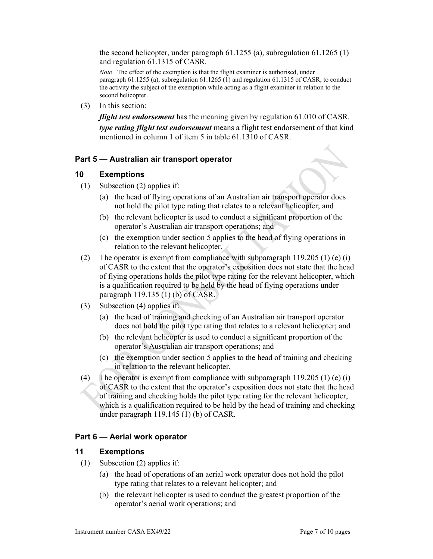the second helicopter, under paragraph 61.1255 (a), subregulation 61.1265 (1) and regulation 61.1315 of CASR.

*Note* The effect of the exemption is that the flight examiner is authorised, under paragraph 61.1255 (a), subregulation 61.1265 (1) and regulation 61.1315 of CASR, to conduct the activity the subject of the exemption while acting as a flight examiner in relation to the second helicopter.

(3) In this section:

*flight test endorsement* has the meaning given by regulation 61.010 of CASR.

*type rating flight test endorsement* means a flight test endorsement of that kind mentioned in column 1 of item 5 in table 61.1310 of CASR.

### **Part 5 — Australian air transport operator**

#### **10 Exemptions**

- (1) Subsection (2) applies if:
	- (a) the head of flying operations of an Australian air transport operator does not hold the pilot type rating that relates to a relevant helicopter; and
	- (b) the relevant helicopter is used to conduct a significant proportion of the operator's Australian air transport operations; and
	- (c) the exemption under section 5 applies to the head of flying operations in relation to the relevant helicopter.
- (2) The operator is exempt from compliance with subparagraph 119.205 (1) (e) (i) of CASR to the extent that the operator's exposition does not state that the head of flying operations holds the pilot type rating for the relevant helicopter, which is a qualification required to be held by the head of flying operations under paragraph 119.135 (1) (b) of CASR.
- (3) Subsection (4) applies if:
	- (a) the head of training and checking of an Australian air transport operator does not hold the pilot type rating that relates to a relevant helicopter; and
	- (b) the relevant helicopter is used to conduct a significant proportion of the operator's Australian air transport operations; and
	- (c) the exemption under section 5 applies to the head of training and checking in relation to the relevant helicopter.
- (4) The operator is exempt from compliance with subparagraph  $119.205$  (1) (e) (i) of CASR to the extent that the operator's exposition does not state that the head of training and checking holds the pilot type rating for the relevant helicopter, which is a qualification required to be held by the head of training and checking under paragraph 119.145 (1) (b) of CASR.

### **Part 6 — Aerial work operator**

### **11 Exemptions**

- (1) Subsection (2) applies if:
	- (a) the head of operations of an aerial work operator does not hold the pilot type rating that relates to a relevant helicopter; and
	- (b) the relevant helicopter is used to conduct the greatest proportion of the operator's aerial work operations; and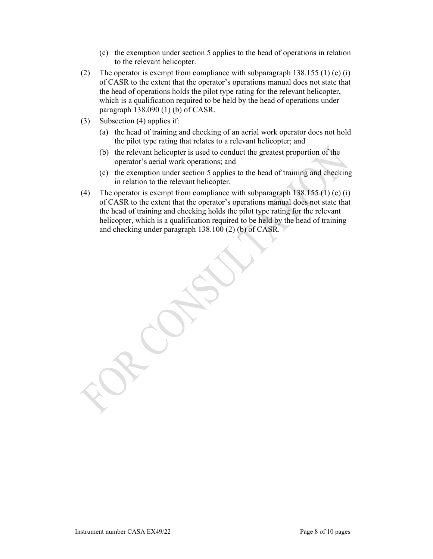- (c) the exemption under section 5 applies to the head of operations in relation to the relevant helicopter.
- (2) The operator is exempt from compliance with subparagraph 138.155 (1) (e) (i) of CASR to the extent that the operator's operations manual does not state that the head of operations holds the pilot type rating for the relevant helicopter, which is a qualification required to be held by the head of operations under paragraph 138.090 (1) (b) of CASR.
- (3) Subsection (4) applies if:
	- (a) the head of training and checking of an aerial work operator does not hold the pilot type rating that relates to a relevant helicopter; and
	- (b) the relevant helicopter is used to conduct the greatest proportion of the operator's aerial work operations; and
	- (c) the exemption under section 5 applies to the head of training and checking in relation to the relevant helicopter.
- (4) The operator is exempt from compliance with subparagraph  $138.155$  (1) (e) (i) of CASR to the extent that the operator's operations manual does not state that the head of training and checking holds the pilot type rating for the relevant helicopter, which is a qualification required to be held by the head of training and checking under paragraph 138.100 (2) (b) of CASR.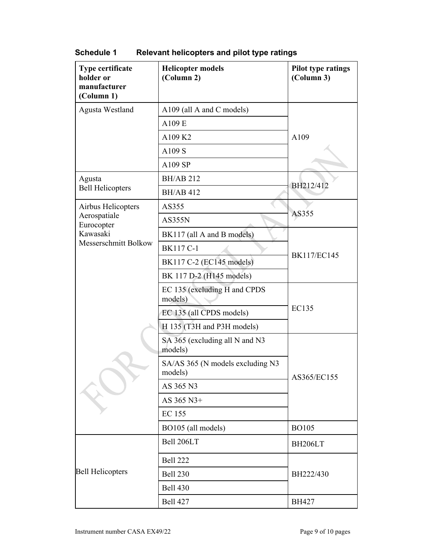| Type certificate<br>holder or<br>manufacturer<br>(Column 1)                          | <b>Helicopter models</b><br>(Column 2)      | <b>Pilot type ratings</b><br>(Column 3) |
|--------------------------------------------------------------------------------------|---------------------------------------------|-----------------------------------------|
| Agusta Westland                                                                      | A109 (all A and C models)                   |                                         |
|                                                                                      | A109 E                                      |                                         |
|                                                                                      | A109 K2                                     | A109                                    |
|                                                                                      | A109 S                                      |                                         |
|                                                                                      | A109 SP                                     |                                         |
| Agusta<br><b>Bell Helicopters</b>                                                    | <b>BH/AB 212</b>                            | BH212/412                               |
|                                                                                      | <b>BH/AB 412</b>                            |                                         |
| Airbus Helicopters<br>Aerospatiale<br>Eurocopter<br>Kawasaki<br>Messerschmitt Bolkow | AS355                                       | AS355                                   |
|                                                                                      | <b>AS355N</b>                               |                                         |
|                                                                                      | BK117 (all A and B models)                  | <b>BK117/EC145</b>                      |
|                                                                                      | <b>BK117 C-1</b>                            |                                         |
|                                                                                      | BK117 C-2 (EC145 models)                    |                                         |
|                                                                                      | BK 117 D-2 (H145 models)                    |                                         |
|                                                                                      | EC 135 (excluding H and CPDS<br>models)     | <b>EC135</b>                            |
|                                                                                      | EC 135 (all CPDS models)                    |                                         |
|                                                                                      | H 135 (T3H and P3H models)                  |                                         |
|                                                                                      | SA 365 (excluding all N and N3<br>models)   | AS365/EC155<br><b>BO105</b>             |
|                                                                                      | SA/AS 365 (N models excluding N3<br>models) |                                         |
|                                                                                      | AS 365 N3                                   |                                         |
|                                                                                      | AS 365 N3+                                  |                                         |
|                                                                                      | <b>EC 155</b>                               |                                         |
|                                                                                      | BO105 (all models)                          |                                         |
|                                                                                      | Bell 206LT                                  | BH206LT                                 |
| <b>Bell Helicopters</b>                                                              | <b>Bell 222</b>                             | BH222/430                               |
|                                                                                      | <b>Bell 230</b>                             |                                         |
|                                                                                      | <b>Bell 430</b>                             |                                         |
|                                                                                      | <b>Bell 427</b>                             | <b>BH427</b>                            |

**Schedule 1 Relevant helicopters and pilot type ratings**